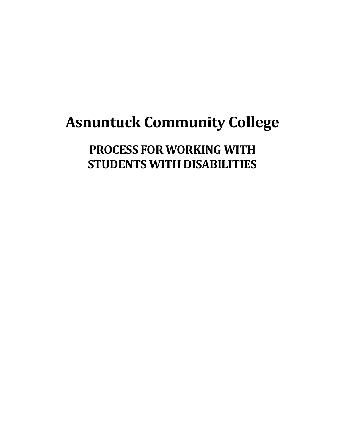# **Asnuntuck Community College**

**PROCESS FOR WORKING WITH STUDENTS WITH DISABILITIES**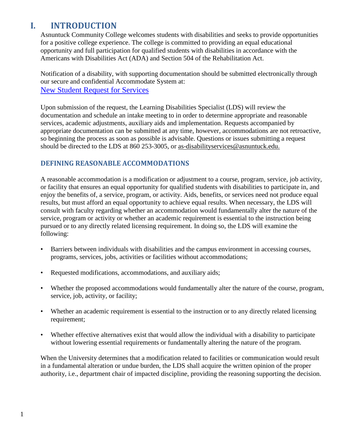# **I. INTRODUCTION**

Asnuntuck Community College welcomes students with disabilities and seeks to provide opportunities for a positive college experience. The college is committed to providing an equal educational opportunity and full participation for qualified students with disabilities in accordance with the Americans with Disabilities Act (ADA) and Section 504 of the Rehabilitation Act.

Notification of a disability, with supporting documentation should be submitted electronically through our secure and confidential Accommodate System at: [New Student Request for Services](https://asnuntuck-accommodate.symplicity.com/public_accommodation/)

Upon submission of the request, the Learning Disabilities Specialist (LDS) will review the documentation and schedule an intake meeting to in order to determine appropriate and reasonable services, academic adjustments, auxiliary aids and implementation. Requests accompanied by appropriate documentation can be submitted at any time, however, accommodations are not retroactive, so beginning the process as soon as possible is advisable. Questions or issues submitting a request should be directed to the LDS at 860 253-3005, or [as-disabilityservices@asnuntuck.edu.](mailto:as-disabilityservices@asnuntuck.edu)

## **DEFINING REASONABLE ACCOMMODATIONS**

A reasonable accommodation is a modification or adjustment to a course, program, service, job activity, or facility that ensures an equal opportunity for qualified students with disabilities to participate in, and enjoy the benefits of, a service, program, or activity. Aids, benefits, or services need not produce equal results, but must afford an equal opportunity to achieve equal results. When necessary, the LDS will consult with faculty regarding whether an accommodation would fundamentally alter the nature of the service, program or activity or whether an academic requirement is essential to the instruction being pursued or to any directly related licensing requirement. In doing so, the LDS will examine the following:

- Barriers between individuals with disabilities and the campus environment in accessing courses, programs, services, jobs, activities or facilities without accommodations;
- Requested modifications, accommodations, and auxiliary aids;
- Whether the proposed accommodations would fundamentally alter the nature of the course, program, service, job, activity, or facility;
- Whether an academic requirement is essential to the instruction or to any directly related licensing requirement;
- Whether effective alternatives exist that would allow the individual with a disability to participate without lowering essential requirements or fundamentally altering the nature of the program.

When the University determines that a modification related to facilities or communication would result in a fundamental alteration or undue burden, the LDS shall acquire the written opinion of the proper authority, i.e., department chair of impacted discipline, providing the reasoning supporting the decision.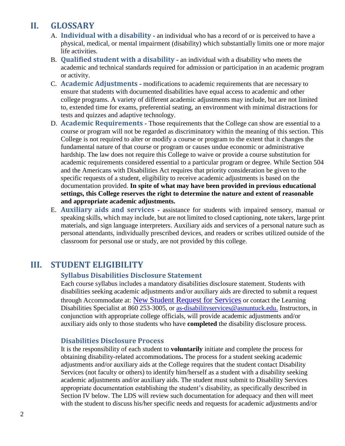# **II. GLOSSARY**

- A. **Individual with a disability -** an individual who has a record of or is perceived to have a physical, medical, or mental impairment (disability) which substantially limits one or more major life activities.
- B. **Qualified student with a disability -** an individual with a disability who meets the academic and technical standards required for admission or participation in an academic program or activity.
- C. **Academic Adjustments -** modifications to academic requirements that are necessary to ensure that students with documented disabilities have equal access to academic and other college programs. A variety of different academic adjustments may include, but are not limited to, extended time for exams, preferential seating, an environment with minimal distractions for tests and quizzes and adaptive technology.
- D. **Academic Requirements -** Those requirements that the College can show are essential to a course or program will not be regarded as discriminatory within the meaning of this section. This College is not required to alter or modify a course or program to the extent that it changes the fundamental nature of that course or program or causes undue economic or administrative hardship. The law does not require this College to waive or provide a course substitution for academic requirements considered essential to a particular program or degree. While Section 504 and the Americans with Disabilities Act requires that priority consideration be given to the specific requests of a student, eligibility to receive academic adjustments is based on the documentation provided. **In spite of what may have been provided in previous educational settings, this College reserves the right to determine the nature and extent of reasonable and appropriate academic adjustments.**
- E. **Auxiliary aids and services -** assistance for students with impaired sensory, manual or speaking skills, which may include, but are not limited to closed captioning, note takers, large print materials, and sign language interpreters. Auxiliary aids and services of a personal nature such as personal attendants, individually prescribed devices, and readers or scribes utilized outside of the classroom for personal use or study, are not provided by this college.

# **III. STUDENT ELIGIBILITY**

#### **Syllabus Disabilities Disclosure Statement**

Each course syllabus includes a mandatory disabilities disclosure statement. Students with disabilities seeking academic adjustments and/or auxiliary aids are directed to submit a request through Accommodate at: [New Student Request for Services](https://asnuntuck-accommodate.symplicity.com/public_accommodation/) or contact the Learning Disabilities Specialist at 860 253-3005, or [as-disabilityservices@asnuntuck.edu.](mailto:as-disabilityservices@asnuntuck.edu) Instructors, in conjunction with appropriate college officials, will provide academic adjustments and/or auxiliary aids only to those students who have **completed** the disability disclosure process.

#### **Disabilities Disclosure Process**

It is the responsibility of each student to **voluntarily** initiate and complete the process for obtaining disability-related accommodations**.** The process for a student seeking academic adjustments and/or auxiliary aids at the College requires that the student contact Disability Services (not faculty or others) to identify him/herself as a student with a disability seeking academic adjustments and/or auxiliary aids. The student must submit to Disability Services appropriate documentation establishing the student's disability, as specifically described in Section IV below. The LDS will review such documentation for adequacy and then will meet with the student to discuss his/her specific needs and requests for academic adjustments and/or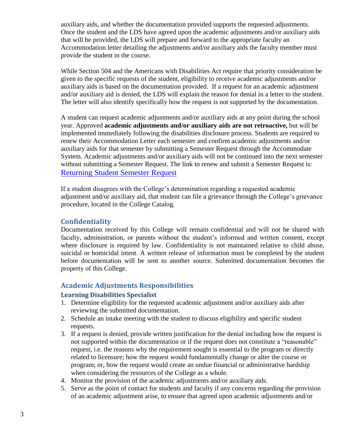auxiliary aids, and whether the documentation provided supports the requested adjustments. Once the student and the LDS have agreed upon the academic adjustments and/or auxiliary aids that will be provided, the LDS will prepare and forward to the appropriate faculty an Accommodation letter detailing the adjustments and/or auxiliary aids the faculty member must provide the student in the course.

While Section 504 and the Americans with Disabilities Act require that priority consideration be given to the specific requests of the student, eligibility to receive academic adjustments and/or auxiliary aids is based on the documentation provided. If a request for an academic adjustment and/or auxiliary aid is denied, the LDS will explain the reason for denial in a letter to the student. The letter will also identify specifically how the request is not supported by the documentation.

A student can request academic adjustments and/or auxiliary aids at any point during the school year. Approved **academic adjustments and/or auxiliary aids are not retroactive,** but will be implemented immediately following the disabilities disclosure process. Students are required to renew their Accommodation Letter each semester and confirm academic adjustments and/or auxiliary aids for that semester by submitting a Semester Request through the Accommodate System. Academic adjustments and/or auxiliary aids will not be continued into the next semester without submitting a Semester Request. The link to renew and submit a Semester Request is: [Returning Student Semester Request](https://asnuntuck-accommodate.symplicity.com/)

If a student disagrees with the College's determination regarding a requested academic adjustment and/or auxiliary aid, that student can file a grievance through the College's grievance procedure, located in the College Catalog.

#### **Confidentiality**

Documentation received by this College will remain confidential and will not be shared with faculty, administration, or parents without the student's informed and written consent, except where disclosure is required by law. Confidentiality is not maintained relative to child abuse, suicidal or homicidal intent. A written release of information must be completed by the student before documentation will be sent to another source. Submitted documentation becomes the property of this College.

## **Academic Adjustments Responsibilities**

#### **Learning Disabilities Specialist**

- 1. Determine eligibility for the requested academic adjustment and/or auxiliary aids after reviewing the submitted documentation.
- 2. Schedule an intake meeting with the student to discuss eligibility and specific student requests.
- 3. If a request is denied, provide written justification for the denial including how the request is not supported within the documentation or if the request does not constitute a "reasonable" request, i.e. the reasons why the requirement sought is essential to the program or directly related to licensure; how the request would fundamentally change or alter the course or program; or, how the request would create an undue financial or administrative hardship when considering the resources of the College as a whole.
- 4. Monitor the provision of the academic adjustments and/or auxiliary aids.
- 5. Serve as the point of contact for students and faculty if any concerns regarding the provision of an academic adjustment arise, to ensure that agreed upon academic adjustments and/or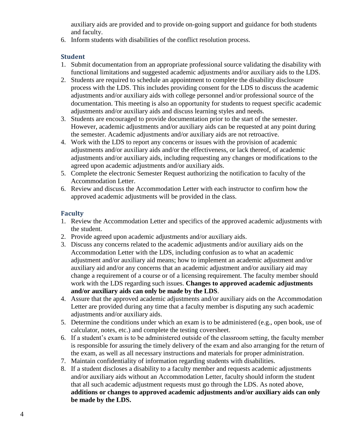auxiliary aids are provided and to provide on-going support and guidance for both students and faculty.

6. Inform students with disabilities of the conflict resolution process.

#### **Student**

- 1. Submit documentation from an appropriate professional source validating the disability with functional limitations and suggested academic adjustments and/or auxiliary aids to the LDS.
- 2. Students are required to schedule an appointment to complete the disability disclosure process with the LDS. This includes providing consent for the LDS to discuss the academic adjustments and/or auxiliary aids with college personnel and/or professional source of the documentation. This meeting is also an opportunity for students to request specific academic adjustments and/or auxiliary aids and discuss learning styles and needs.
- 3. Students are encouraged to provide documentation prior to the start of the semester. However, academic adjustments and/or auxiliary aids can be requested at any point during the semester. Academic adjustments and/or auxiliary aids are not retroactive.
- 4. Work with the LDS to report any concerns or issues with the provision of academic adjustments and/or auxiliary aids and/or the effectiveness, or lack thereof, of academic adjustments and/or auxiliary aids, including requesting any changes or modifications to the agreed upon academic adjustments and/or auxiliary aids.
- 5. Complete the electronic Semester Request authorizing the notification to faculty of the Accommodation Letter.
- 6. Review and discuss the Accommodation Letter with each instructor to confirm how the approved academic adjustments will be provided in the class.

#### **Faculty**

- 1. Review the Accommodation Letter and specifics of the approved academic adjustments with the student.
- 2. Provide agreed upon academic adjustments and/or auxiliary aids.
- 3. Discuss any concerns related to the academic adjustments and/or auxiliary aids on the Accommodation Letter with the LDS, including confusion as to what an academic adjustment and/or auxiliary aid means; how to implement an academic adjustment and/or auxiliary aid and/or any concerns that an academic adjustment and/or auxiliary aid may change a requirement of a course or of a licensing requirement. The faculty member should work with the LDS regarding such issues. **Changes to approved academic adjustments and/or auxiliary aids can only be made by the LDS**.
- 4. Assure that the approved academic adjustments and/or auxiliary aids on the Accommodation Letter are provided during any time that a faculty member is disputing any such academic adjustments and/or auxiliary aids.
- 5. Determine the conditions under which an exam is to be administered (e.g., open book, use of calculator, notes, etc.) and complete the testing coversheet.
- 6. If a student's exam is to be administered outside of the classroom setting, the faculty member is responsible for assuring the timely delivery of the exam and also arranging for the return of the exam, as well as all necessary instructions and materials for proper administration.
- 7. Maintain confidentiality of information regarding students with disabilities.
- 8. If a student discloses a disability to a faculty member and requests academic adjustments and/or auxiliary aids without an Accommodation Letter, faculty should inform the student that all such academic adjustment requests must go through the LDS. As noted above, **additions or changes to approved academic adjustments and/or auxiliary aids can only be made by the LDS.**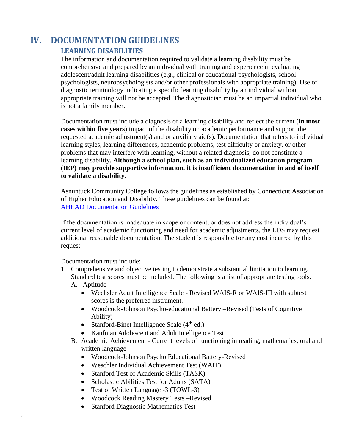# **IV. DOCUMENTATION GUIDELINES**

## **LEARNING DISABILITIES**

The information and documentation required to validate a learning disability must be comprehensive and prepared by an individual with training and experience in evaluating adolescent/adult learning disabilities (e.g., clinical or educational psychologists, school psychologists, neuropsychologists and/or other professionals with appropriate training). Use of diagnostic terminology indicating a specific learning disability by an individual without appropriate training will not be accepted. The diagnostician must be an impartial individual who is not a family member.

Documentation must include a diagnosis of a learning disability and reflect the current (**in most cases within five years**) impact of the disability on academic performance and support the requested academic adjustment(s) and or auxiliary aid(s). Documentation that refers to individual learning styles, learning differences, academic problems, test difficulty or anxiety, or other problems that may interfere with learning, without a related diagnosis, do not constitute a learning disability. **Although a school plan, such as an individualized education program (IEP) may provide supportive information, it is insufficient documentation in and of itself to validate a disability.**

Asnuntuck Community College follows the guidelines as established by Connecticut Association of Higher Education and Disability. These guidelines can be found at: [AHEAD Documentation Guidelines](https://www.ahead.org/about-ahead/about-overview/affiliates/connecticut/documentation#II)

If the documentation is inadequate in scope or content, or does not address the individual's current level of academic functioning and need for academic adjustments, the LDS may request additional reasonable documentation. The student is responsible for any cost incurred by this request.

Documentation must include:

- 1. Comprehensive and objective testing to demonstrate a substantial limitation to learning. Standard test scores must be included. The following is a list of appropriate testing tools. A. Aptitude
	- Wechsler Adult Intelligence Scale Revised WAIS-R or WAIS-III with subtest scores is the preferred instrument.
	- Woodcock-Johnson Psycho-educational Battery –Revised (Tests of Cognitive Ability)
	- Stanford-Binet Intelligence Scale  $(4<sup>th</sup>$  ed.)
	- Kaufman Adolescent and Adult Intelligence Test
	- B. Academic Achievement Current levels of functioning in reading, mathematics, oral and written language
		- Woodcock-Johnson Psycho Educational Battery-Revised
		- Weschler Individual Achievement Test (WAIT)
		- Stanford Test of Academic Skills (TASK)
		- Scholastic Abilities Test for Adults (SATA)
		- Test of Written Language -3 (TOWL-3)
		- Woodcock Reading Mastery Tests –Revised
		- Stanford Diagnostic Mathematics Test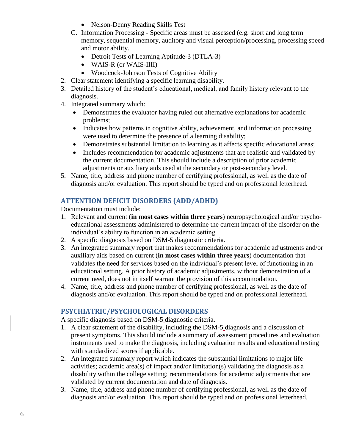- Nelson-Denny Reading Skills Test
- C. Information Processing Specific areas must be assessed (e.g. short and long term memory, sequential memory, auditory and visual perception/processing, processing speed and motor ability.
	- Detroit Tests of Learning Aptitude-3 (DTLA-3)
	- WAIS-R (or WAIS-IIII)
	- Woodcock-Johnson Tests of Cognitive Ability
- 2. Clear statement identifying a specific learning disability.
- 3. Detailed history of the student's educational, medical, and family history relevant to the diagnosis.
- 4. Integrated summary which:
	- Demonstrates the evaluator having ruled out alternative explanations for academic problems;
	- Indicates how patterns in cognitive ability, achievement, and information processing were used to determine the presence of a learning disability;
	- Demonstrates substantial limitation to learning as it affects specific educational areas;
	- Includes recommendation for academic adjustments that are realistic and validated by the current documentation. This should include a description of prior academic adjustments or auxiliary aids used at the secondary or post-secondary level.
- 5. Name, title, address and phone number of certifying professional, as well as the date of diagnosis and/or evaluation. This report should be typed and on professional letterhead.

## **ATTENTION DEFICIT DISORDERS (ADD/ADHD)**

Documentation must include:

- 1. Relevant and current (**in most cases within three years**) neuropsychological and/or psychoeducational assessments administered to determine the current impact of the disorder on the individual's ability to function in an academic setting.
- 2. A specific diagnosis based on DSM-5 diagnostic criteria.
- 3. An integrated summary report that makes recommendations for academic adjustments and/or auxiliary aids based on current (**in most cases within three years**) documentation that validates the need for services based on the individual's present level of functioning in an educational setting. A prior history of academic adjustments, without demonstration of a current need, does not in itself warrant the provision of this accommodation.
- 4. Name, title, address and phone number of certifying professional, as well as the date of diagnosis and/or evaluation. This report should be typed and on professional letterhead.

## **PSYCHIATRIC/PSYCHOLOGICAL DISORDERS**

A specific diagnosis based on DSM-5 diagnostic criteria.

- 1. A clear statement of the disability, including the DSM-5 diagnosis and a discussion of present symptoms. This should include a summary of assessment procedures and evaluation instruments used to make the diagnosis, including evaluation results and educational testing with standardized scores if applicable.
- 2. An integrated summary report which indicates the substantial limitations to major life activities; academic area(s) of impact and/or limitation(s) validating the diagnosis as a disability within the college setting; recommendations for academic adjustments that are validated by current documentation and date of diagnosis.
- 3. Name, title, address and phone number of certifying professional, as well as the date of diagnosis and/or evaluation. This report should be typed and on professional letterhead.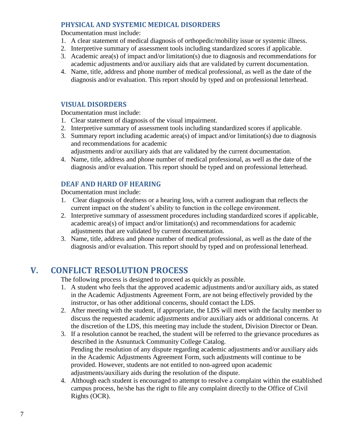## **PHYSICAL AND SYSTEMIC MEDICAL DISORDERS**

Documentation must include:

- 1. A clear statement of medical diagnosis of orthopedic/mobility issue or systemic illness.
- 2. Interpretive summary of assessment tools including standardized scores if applicable.
- 3. Academic area(s) of impact and/or limitation(s) due to diagnosis and recommendations for academic adjustments and/or auxiliary aids that are validated by current documentation.
- 4. Name, title, address and phone number of medical professional, as well as the date of the diagnosis and/or evaluation. This report should by typed and on professional letterhead.

#### **VISUAL DISORDERS**

Documentation must include:

- 1. Clear statement of diagnosis of the visual impairment.
- 2. Interpretive summary of assessment tools including standardized scores if applicable.
- 3. Summary report including academic area(s) of impact and/or limitation(s) due to diagnosis and recommendations for academic
- adjustments and/or auxiliary aids that are validated by the current documentation. 4. Name, title, address and phone number of medical professional, as well as the date of the
- diagnosis and/or evaluation. This report should be typed and on professional letterhead.

#### **DEAF AND HARD OF HEARING**

Documentation must include:

- 1. Clear diagnosis of deafness or a hearing loss, with a current audiogram that reflects the current impact on the student's ability to function in the college environment.
- 2. Interpretive summary of assessment procedures including standardized scores if applicable, academic area(s) of impact and/or limitation(s) and recommendations for academic adjustments that are validated by current documentation.
- 3. Name, title, address and phone number of medical professional, as well as the date of the diagnosis and/or evaluation. This report should by typed and on professional letterhead.

# **V. CONFLICT RESOLUTION PROCESS**

The following process is designed to proceed as quickly as possible.

- 1. A student who feels that the approved academic adjustments and/or auxiliary aids, as stated in the Academic Adjustments Agreement Form, are not being effectively provided by the instructor, or has other additional concerns, should contact the LDS.
- 2. After meeting with the student, if appropriate, the LDS will meet with the faculty member to discuss the requested academic adjustments and/or auxiliary aids or additional concerns. At the discretion of the LDS, this meeting may include the student, Division Director or Dean.
- 3. If a resolution cannot be reached, the student will be referred to the grievance procedures as described in the Asnuntuck Community College Catalog. Pending the resolution of any dispute regarding academic adjustments and/or auxiliary aids in the Academic Adjustments Agreement Form, such adjustments will continue to be provided. However, students are not entitled to non-agreed upon academic adjustments/auxiliary aids during the resolution of the dispute.
- 4. Although each student is encouraged to attempt to resolve a complaint within the established campus process, he/she has the right to file any complaint directly to the Office of Civil Rights (OCR).